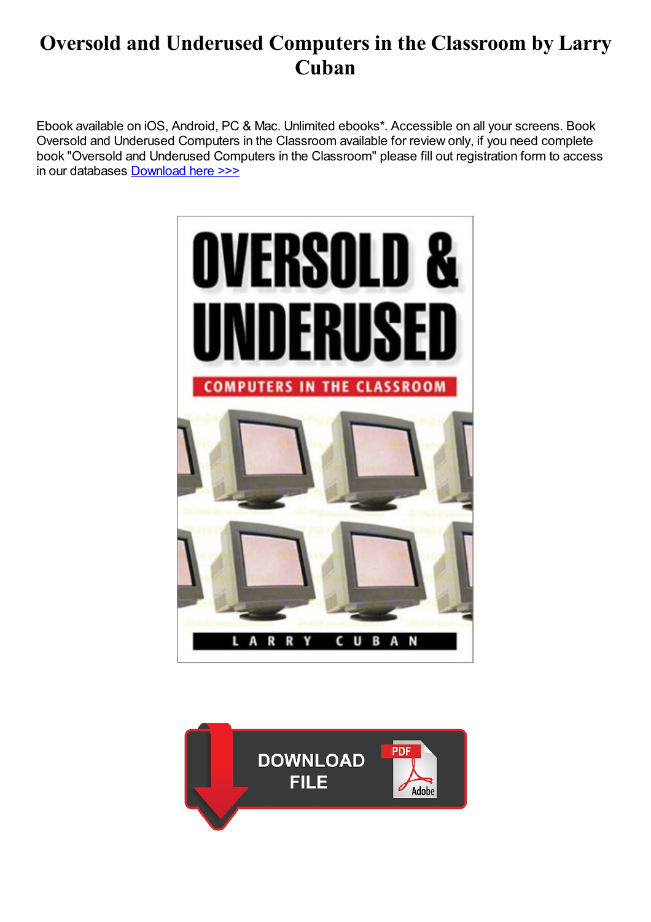# Oversold and Underused Computers in the Classroom by Larry Cuban

Ebook available on iOS, Android, PC & Mac. Unlimited ebooks\*. Accessible on all your screens. Book Oversold and Underused Computers in the Classroom available for review only, if you need complete book "Oversold and Underused Computers in the Classroom" please fill out registration form to access in our databases [Download](https://kozilekmusic.com/sbookfile/T3ZlcnNvbGQgYW5kIFVuZGVydXNlZDogQ29tcHV0ZXJzIGluIHRoZSBDbGFzc3Jvb20=) here >>>



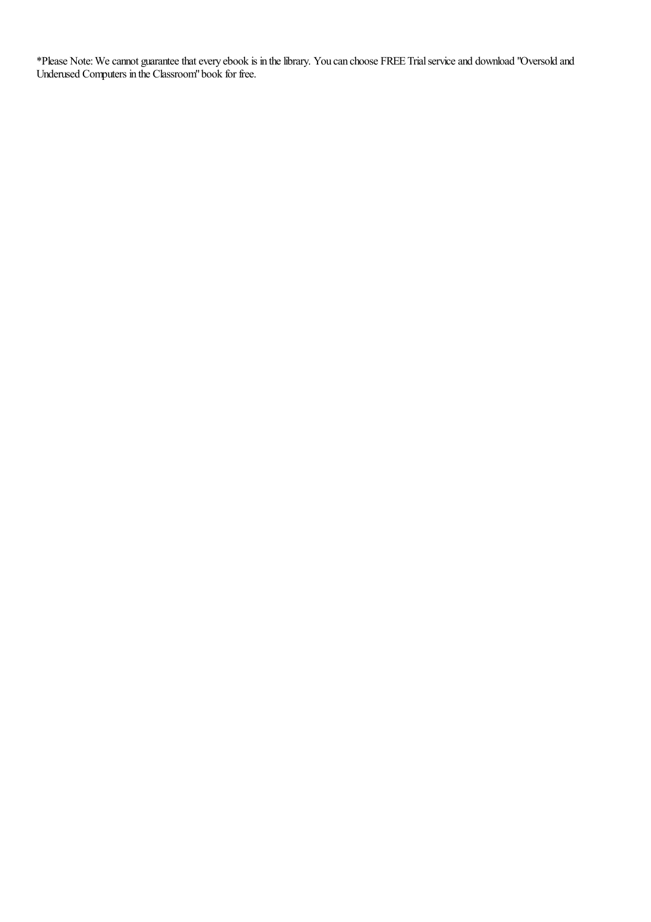\*Please Note: We cannot guarantee that every ebook is in the library. You can choose FREE Trial service and download "Oversold and Underused Computers in the Classroom"book for free.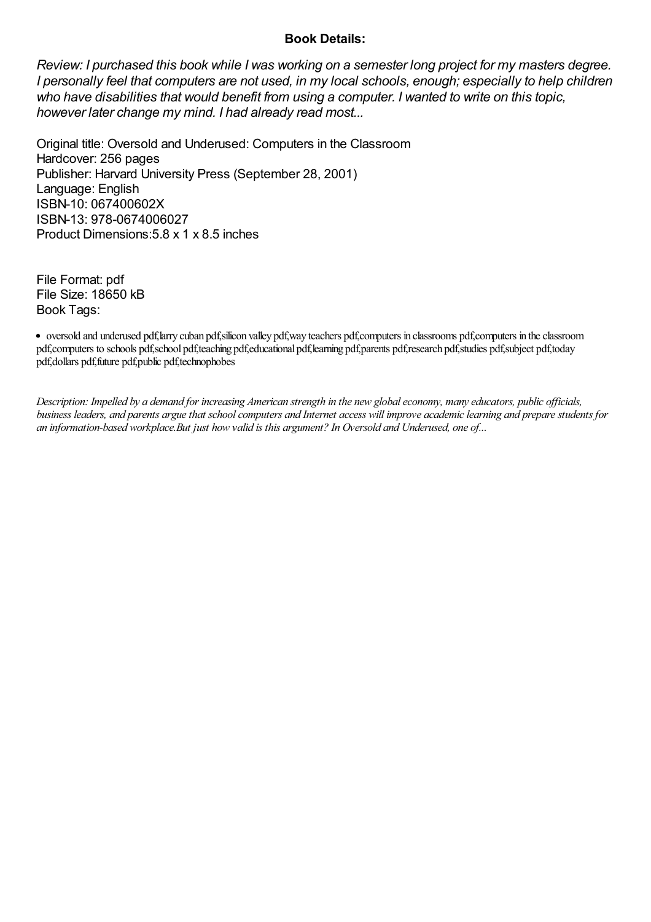#### Book Details:

Review: I purchased this book while I was working on a semester long project for my masters degree. I personally feel that computers are not used, in my local schools, enough; especially to help children who have disabilities that would benefit from using a computer. I wanted to write on this topic, however later change my mind. I had already read most...

Original title: Oversold and Underused: Computers in the Classroom Hardcover: 256 pages Publisher: Harvard University Press (September 28, 2001) Language: English ISBN-10: 067400602X ISBN-13: 978-0674006027 Product Dimensions:5.8 x 1 x 8.5 inches

File Format: pdf File Size: 18650 kB Book Tags:

oversold and underused pdf,larry cuban pdf,silicon valley pdf,way teachers pdf,computers in classrooms pdf,computers in theclassroom pdf,computers to schools pdf,school pdf,teaching pdf,educational pdf,learning pdf,parents pdf,research pdf,studies pdf,subject pdf,today pdf,dollars pdf,future pdf,public pdf,technophobes

Description: Impelled by a demand for increasing American strength in the new global economy, many educators, public officials, business leaders, and parents argue that school computers and Internet access will improve academic learning and prepare students for an information-based workplace.But just how valid is this argument? In Oversold and Underused, one of...